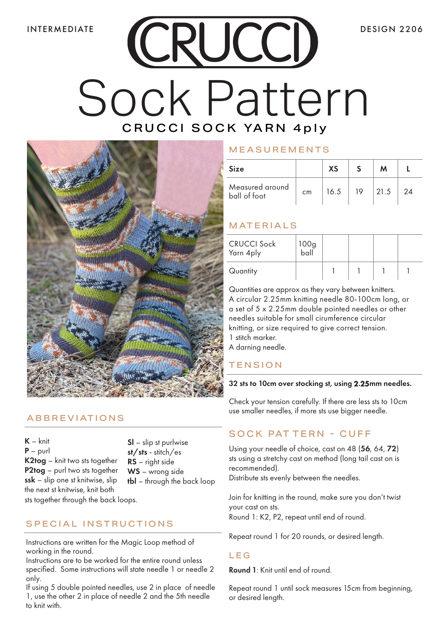# CRUCCI Sock Pattern CRUCCI SOCK YARN 4ply



# ABBREVIATIONS

 $K - knit$ P – purl K2tog – knit two sts together P2tog – purl two sts together ssk – slip one st knitwise, slip the next st knitwise, knit both

Sl – slip st purlwise st/sts - stitch/es RS – right side WS – wrong side tbl – through the back loop

sts together through the back loops.

# SPECIAL INSTRUCTIONS

Instructions are written for the Magic Loop method of working in the round.

Instructions are to be worked for the entire round unless specified. Some instructions will state needle 1 or needle 2 only.

If using 5 double pointed needles, use 2 in place of needle 1, use the other 2 in place of needle 2 and the 5th needle to knit with.

## MEASUREMENTS

| <b>Size</b>                     |    | XS   |    | M    |    |
|---------------------------------|----|------|----|------|----|
| Measured around<br>ball of foot | cm | 16.5 | 19 | 21.5 | 24 |

# MATERIALS

| <b>CRUCCI Sock</b><br>Yarn 4ply | 100g<br>ball |  |  |
|---------------------------------|--------------|--|--|
| Quantity                        |              |  |  |

Quantities are approx as they vary between knitters. A circular 2.25mm knitting needle 80-100cm long, or a set of 5 x 2.25mm double pointed needles or other needles suitable for small cirumference circular knitting, or size required to give correct tension. 1 stitch marker.

A darning needle.

# **TENSION**

#### 32 sts to 10cm over stocking st, using 2.25mm needles.

Check your tension carefully. If there are less sts to 10cm use smaller needles, if more sts use bigger needle.

# SOCK PAT TERN - CUFF

Using your needle of choice, cast on 48 (56, 64, 72) sts using a stretchy cast on method (long tail cast on is recommended).

Distribute sts evenly between the needles.

Join for knitting in the round, make sure you don't twist your cast on sts. Round 1: K2, P2, repeat until end of round.

Repeat round 1 for 20 rounds, or desired length.

## LEG

Round 1: Knit until end of round.

Repeat round 1 until sock measures 15cm from beginning, or desired length.